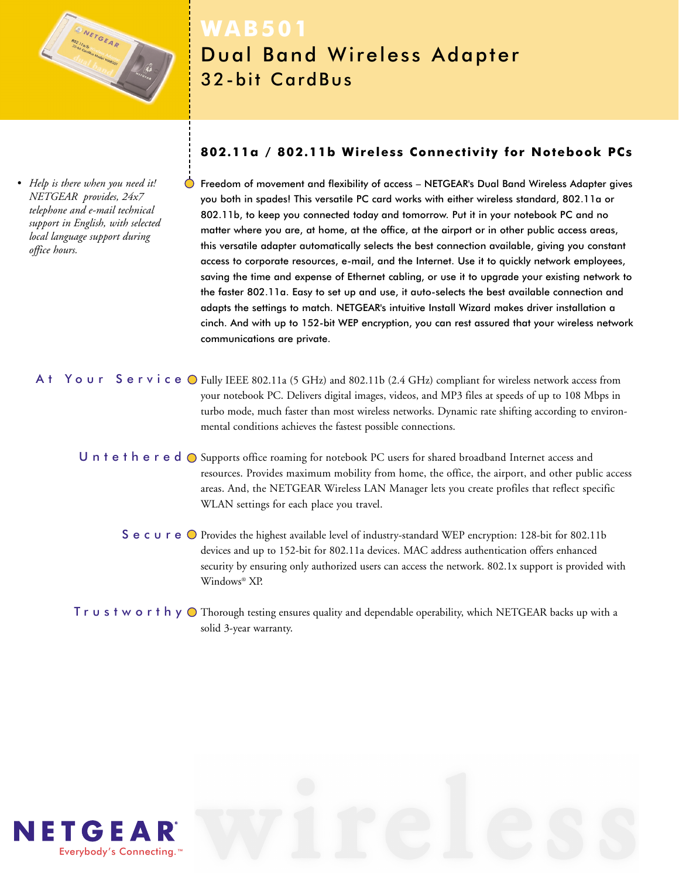

*• Help is there when you need it! NETGEAR provides, 24x7 telephone and e-mail technical support in English, with selected local language support during office hours.*

# **WAB501** Dual Band Wireless Adapter 32-bit CardBus

# **802.11a / 802.11b Wireless Connectivity for Notebook PCs**

Freedom of movement and flexibility of access – NETGEAR's Dual Band Wireless Adapter gives you both in spades! This versatile PC card works with either wireless standard, 802.11a or 802.11b, to keep you connected today and tomorrow. Put it in your notebook PC and no matter where you are, at home, at the office, at the airport or in other public access areas, this versatile adapter automatically selects the best connection available, giving you constant access to corporate resources, e-mail, and the Internet. Use it to quickly network employees, saving the time and expense of Ethernet cabling, or use it to upgrade your existing network to the faster 802.11a. Easy to set up and use, it auto-selects the best available connection and adapts the settings to match. NETGEAR's intuitive Install Wizard makes driver installation a cinch. And with up to 152-bit WEP encryption, you can rest assured that your wireless network communications are private.

- A  $t$  Your Service O Fully IEEE 802.11a (5 GHz) and 802.11b (2.4 GHz) compliant for wireless network access from your notebook PC. Delivers digital images, videos, and MP3 files at speeds of up to 108 Mbps in turbo mode, much faster than most wireless networks. Dynamic rate shifting according to environmental conditions achieves the fastest possible connections.
	- Untethered  $\bigcirc$  Supports office roaming for notebook PC users for shared broadband Internet access and resources. Provides maximum mobility from home, the office, the airport, and other public access areas. And, the NETGEAR Wireless LAN Manager lets you create profiles that reflect specific WLAN settings for each place you travel.
		- Secure O Provides the highest available level of industry-standard WEP encryption: 128-bit for 802.11b devices and up to 152-bit for 802.11a devices. MAC address authentication offers enhanced security by ensuring only authorized users can access the network. 802.1x support is provided with Windows® XP.
	- $\sf{T}$   $\sf{r}$   $\sf{u}$   $\sf{s}$   $\sf{t}$   $\sf{w}$   $\sf{o}$   $\sf{r}$  th or Thorough testing ensures quality and dependable operability, which NETGEAR backs up with a solid 3-year warranty.